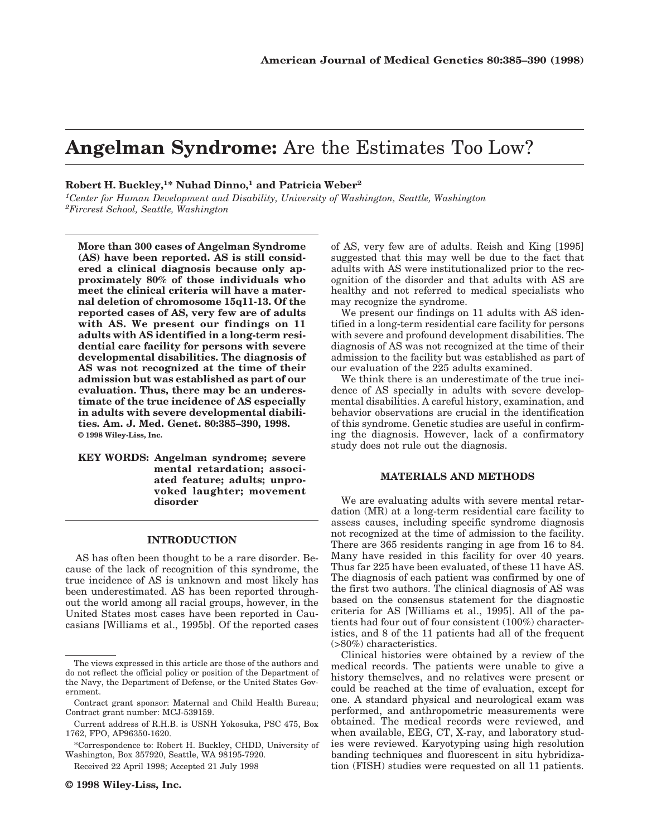# **Angelman Syndrome:** Are the Estimates Too Low?

## **Robert H. Buckley,1\* Nuhad Dinno,1 and Patricia Weber<sup>2</sup>**

*1Center for Human Development and Disability, University of Washington, Seattle, Washington 2Fircrest School, Seattle, Washington*

**More than 300 cases of Angelman Syndrome (AS) have been reported. AS is still considered a clinical diagnosis because only approximately 80% of those individuals who meet the clinical criteria will have a maternal deletion of chromosome 15q11-13. Of the reported cases of AS, very few are of adults with AS. We present our findings on 11 adults with AS identified in a long-term residential care facility for persons with severe developmental disabilities. The diagnosis of AS was not recognized at the time of their admission but was established as part of our evaluation. Thus, there may be an underestimate of the true incidence of AS especially in adults with severe developmental diabilities. Am. J. Med. Genet. 80:385–390, 1998. © 1998 Wiley-Liss, Inc.**

**KEY WORDS: Angelman syndrome; severe mental retardation; associated feature; adults; unprovoked laughter; movement disorder**

### **INTRODUCTION**

AS has often been thought to be a rare disorder. Because of the lack of recognition of this syndrome, the true incidence of AS is unknown and most likely has been underestimated. AS has been reported throughout the world among all racial groups, however, in the United States most cases have been reported in Caucasians [Williams et al., 1995b]. Of the reported cases of AS, very few are of adults. Reish and King [1995] suggested that this may well be due to the fact that adults with AS were institutionalized prior to the recognition of the disorder and that adults with AS are healthy and not referred to medical specialists who may recognize the syndrome.

We present our findings on 11 adults with AS identified in a long-term residential care facility for persons with severe and profound development disabilities. The diagnosis of AS was not recognized at the time of their admission to the facility but was established as part of our evaluation of the 225 adults examined.

We think there is an underestimate of the true incidence of AS specially in adults with severe developmental disabilities. A careful history, examination, and behavior observations are crucial in the identification of this syndrome. Genetic studies are useful in confirming the diagnosis. However, lack of a confirmatory study does not rule out the diagnosis.

### **MATERIALS AND METHODS**

We are evaluating adults with severe mental retardation (MR) at a long-term residential care facility to assess causes, including specific syndrome diagnosis not recognized at the time of admission to the facility. There are 365 residents ranging in age from 16 to 84. Many have resided in this facility for over 40 years. Thus far 225 have been evaluated, of these 11 have AS. The diagnosis of each patient was confirmed by one of the first two authors. The clinical diagnosis of AS was based on the consensus statement for the diagnostic criteria for AS [Williams et al., 1995]. All of the patients had four out of four consistent (100%) characteristics, and 8 of the 11 patients had all of the frequent (>80%) characteristics.

Clinical histories were obtained by a review of the medical records. The patients were unable to give a history themselves, and no relatives were present or could be reached at the time of evaluation, except for one. A standard physical and neurological exam was performed, and anthropometric measurements were obtained. The medical records were reviewed, and when available, EEG, CT, X-ray, and laboratory studies were reviewed. Karyotyping using high resolution banding techniques and fluorescent in situ hybridization (FISH) studies were requested on all 11 patients.

The views expressed in this article are those of the authors and do not reflect the official policy or position of the Department of the Navy, the Department of Defense, or the United States Government.

Contract grant sponsor: Maternal and Child Health Bureau; Contract grant number: MCJ-539159.

Current address of R.H.B. is USNH Yokosuka, PSC 475, Box 1762, FPO, AP96350-1620.

<sup>\*</sup>Correspondence to: Robert H. Buckley, CHDD, University of Washington, Box 357920, Seattle, WA 98195-7920.

Received 22 April 1998; Accepted 21 July 1998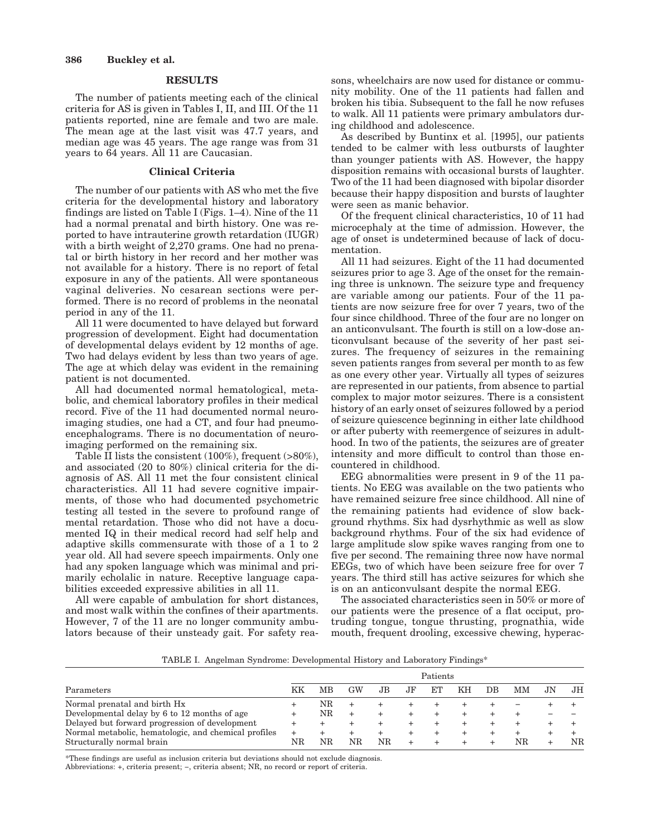#### **RESULTS**

The number of patients meeting each of the clinical criteria for AS is given in Tables I, II, and III. Of the 11 patients reported, nine are female and two are male. The mean age at the last visit was 47.7 years, and median age was 45 years. The age range was from 31 years to 64 years. All 11 are Caucasian.

#### **Clinical Criteria**

The number of our patients with AS who met the five criteria for the developmental history and laboratory findings are listed on Table I (Figs. 1–4). Nine of the 11 had a normal prenatal and birth history. One was reported to have intrauterine growth retardation (IUGR) with a birth weight of 2,270 grams. One had no prenatal or birth history in her record and her mother was not available for a history. There is no report of fetal exposure in any of the patients. All were spontaneous vaginal deliveries. No cesarean sections were performed. There is no record of problems in the neonatal period in any of the 11.

All 11 were documented to have delayed but forward progression of development. Eight had documentation of developmental delays evident by 12 months of age. Two had delays evident by less than two years of age. The age at which delay was evident in the remaining patient is not documented.

All had documented normal hematological, metabolic, and chemical laboratory profiles in their medical record. Five of the 11 had documented normal neuroimaging studies, one had a CT, and four had pneumoencephalograms. There is no documentation of neuroimaging performed on the remaining six.

Table II lists the consistent (100%), frequent (>80%), and associated (20 to 80%) clinical criteria for the diagnosis of AS. All 11 met the four consistent clinical characteristics. All 11 had severe cognitive impairments, of those who had documented psychometric testing all tested in the severe to profound range of mental retardation. Those who did not have a documented IQ in their medical record had self help and adaptive skills commensurate with those of a 1 to 2 year old. All had severe speech impairments. Only one had any spoken language which was minimal and primarily echolalic in nature. Receptive language capabilities exceeded expressive abilities in all 11.

All were capable of ambulation for short distances, and most walk within the confines of their apartments. However, 7 of the 11 are no longer community ambulators because of their unsteady gait. For safety reasons, wheelchairs are now used for distance or community mobility. One of the 11 patients had fallen and broken his tibia. Subsequent to the fall he now refuses to walk. All 11 patients were primary ambulators during childhood and adolescence.

As described by Buntinx et al. [1995], our patients tended to be calmer with less outbursts of laughter than younger patients with AS. However, the happy disposition remains with occasional bursts of laughter. Two of the 11 had been diagnosed with bipolar disorder because their happy disposition and bursts of laughter were seen as manic behavior.

Of the frequent clinical characteristics, 10 of 11 had microcephaly at the time of admission. However, the age of onset is undetermined because of lack of documentation.

All 11 had seizures. Eight of the 11 had documented seizures prior to age 3. Age of the onset for the remaining three is unknown. The seizure type and frequency are variable among our patients. Four of the 11 patients are now seizure free for over 7 years, two of the four since childhood. Three of the four are no longer on an anticonvulsant. The fourth is still on a low-dose anticonvulsant because of the severity of her past seizures. The frequency of seizures in the remaining seven patients ranges from several per month to as few as one every other year. Virtually all types of seizures are represented in our patients, from absence to partial complex to major motor seizures. There is a consistent history of an early onset of seizures followed by a period of seizure quiescence beginning in either late childhood or after puberty with reemergence of seizures in adulthood. In two of the patients, the seizures are of greater intensity and more difficult to control than those encountered in childhood.

EEG abnormalities were present in 9 of the 11 patients. No EEG was available on the two patients who have remained seizure free since childhood. All nine of the remaining patients had evidence of slow background rhythms. Six had dysrhythmic as well as slow background rhythms. Four of the six had evidence of large amplitude slow spike waves ranging from one to five per second. The remaining three now have normal EEGs, two of which have been seizure free for over 7 years. The third still has active seizures for which she is on an anticonvulsant despite the normal EEG.

The associated characteristics seen in 50% or more of our patients were the presence of a flat occiput, protruding tongue, tongue thrusting, prognathia, wide mouth, frequent drooling, excessive chewing, hyperac-

TABLE I. Angelman Syndrome: Developmental History and Laboratory Findings\*

| Parameters                                           | Patients |     |    |     |     |    |    |    |    |  |    |
|------------------------------------------------------|----------|-----|----|-----|-----|----|----|----|----|--|----|
|                                                      |          | MВ  | GW | JB. | .IF | EТ | ΚH | DВ | ΜМ |  | JН |
| Normal prenatal and birth Hx                         |          |     |    |     |     |    |    |    |    |  |    |
| Developmental delay by 6 to 12 months of age         |          | NR. |    |     |     |    |    |    |    |  |    |
| Delayed but forward progression of development       |          |     |    |     |     |    |    |    |    |  |    |
| Normal metabolic, hematologic, and chemical profiles |          |     |    |     |     |    |    |    |    |  |    |
| Structurally normal brain                            | ΝR       | NR. | NR | NR  |     |    |    |    | NR |  | NR |

\*These findings are useful as inclusion criteria but deviations should not exclude diagnosis.

Abbreviations: +, criteria present; −, criteria absent; NR, no record or report of criteria.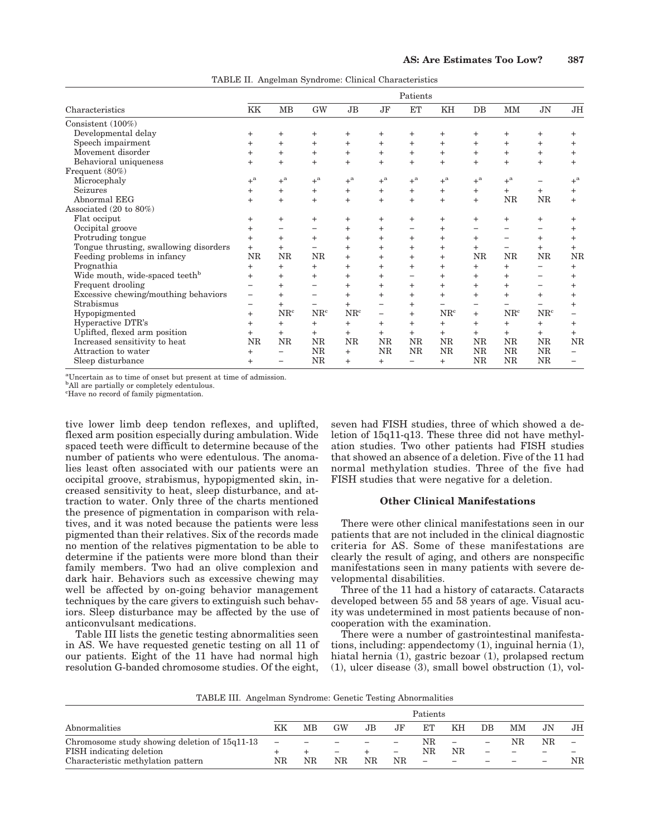| Characteristics                            | Patients         |                          |                  |                  |                          |                          |                  |                          |                          |                          |                  |
|--------------------------------------------|------------------|--------------------------|------------------|------------------|--------------------------|--------------------------|------------------|--------------------------|--------------------------|--------------------------|------------------|
|                                            | KK               | <b>MB</b>                | <b>GW</b>        | <b>JB</b>        | JF                       | <b>ET</b>                | KH               | $DB$                     | MM                       | JN                       | <b>JH</b>        |
| Consistent $(100\%)$                       |                  |                          |                  |                  |                          |                          |                  |                          |                          |                          |                  |
| Developmental delay                        | $^{+}$           | $\pm$                    | $^{+}$           | $\pm$            | $\div$                   | $^{+}$                   | $\pm$            | $\ddot{}$                | $\pm$                    | $\ddot{}$                | $\pm$            |
| Speech impairment                          | $\pm$            | $^{+}$                   | $^{+}$           | $^{+}$           | $^{+}$                   | $^{+}$                   | $^{+}$           | $+$                      | $^{+}$                   | $^{+}$                   | $^{+}$           |
| Movement disorder                          | $^{+}$           | $^{+}$                   | $^{+}$           | $^{+}$           | $^{+}$                   | $^{+}$                   | $\pm$            | $^{+}$                   | $^{+}$                   | $^{+}$                   | $^{+}$           |
| Behavioral uniqueness                      | $\ddot{}$        | $^{+}$                   | $^{+}$           | $+$              | $^{+}$                   | $^{+}$                   | $\ddot{}$        | $+$                      | $^{+}$                   | $+$                      | $^{+}$           |
| Frequent (80%)                             |                  |                          |                  |                  |                          |                          |                  |                          |                          |                          |                  |
| Microcephaly                               | $+^{\mathrm{a}}$ | $+$ <sup>a</sup>         | $+$ <sup>a</sup> | $+$ <sup>a</sup> | $+$ <sup>a</sup>         | $+$ <sup>a</sup>         | $+$ <sup>a</sup> | $+$ <sup>a</sup>         | $+$ <sup>a</sup>         |                          | $+$ <sup>a</sup> |
| Seizures                                   | $\pm$            | $^{+}$                   | $^{+}$           | $\ddot{}$        | $^{+}$                   | $^{+}$                   | $^{+}$           | $^{+}$                   | $\ddot{}$                | $^{+}$                   | $^{+}$           |
| Abnormal EEG                               | $^{+}$           | $^{+}$                   | $^{+}$           | $+$              | $^{+}$                   | $^{+}$                   | $^{+}$           | $+$                      | NR                       | NR                       | $^{+}$           |
| Associated (20 to 80%)                     |                  |                          |                  |                  |                          |                          |                  |                          |                          |                          |                  |
| Flat occiput                               | $\pm$            | $^{+}$                   | $^{+}$           | $^{+}$           | $^{+}$                   | $^{+}$                   | $\ddot{}$        | $^{+}$                   | $^{+}$                   | $^{+}$                   | $\pm$            |
| Occipital groove                           | $^{+}$           | $\overline{\phantom{0}}$ |                  | $\ddot{}$        | $^{+}$                   | $\overline{\phantom{0}}$ | $\ddot{}$        |                          |                          |                          |                  |
| Protruding tongue                          | $\ddot{}$        | $^{+}$                   | $^{+}$           | $\ddot{}$        | $^{+}$                   | $+$                      | $\ddot{}$        | $^{+}$                   | $\overline{\phantom{0}}$ | $^{+}$                   | $\ddot{}$        |
| Tongue thrusting, swallowing disorders     | $^{+}$           | $^{+}$                   |                  | $^{+}$           | $^{+}$                   | $^{+}$                   | $\ddot{}$        | $^{+}$                   |                          | $^{+}$                   | $\ddot{}$        |
| Feeding problems in infancy                | NR               | <b>NR</b>                | <b>NR</b>        | $\ddot{}$        | $^{+}$                   | $^{+}$                   | $\ddot{}$        | <b>NR</b>                | NR                       | <b>NR</b>                | <b>NR</b>        |
| Prognathia                                 | $^{+}$           | $^{+}$                   | $^{+}$           | $\ddot{}$        | $^{+}$                   | $^{+}$                   | $\ddot{}$        | $^{+}$                   | $\ddot{}$                |                          | $\ddot{}$        |
| Wide mouth, wide-spaced teeth <sup>b</sup> | $\ddot{}$        | $^{+}$                   | $^{+}$           | $\ddot{}$        | $^{+}$                   | $\overline{\phantom{0}}$ | $\ddot{}$        | $^{+}$                   | $\ddot{}$                |                          | $\ddot{}$        |
| Frequent drooling                          |                  | $^{+}$                   |                  | $\ddot{}$        | $^{+}$                   | $^{+}$                   | $\ddot{}$        | $\ddot{}$                | $\ddot{}$                |                          |                  |
| Excessive chewing/mouthing behaviors       |                  | $^{+}$                   | $\qquad \qquad$  | $\ddot{}$        | $^{+}$                   | $^{+}$                   | $^{+}$           | $^{+}$                   | $^{+}$                   | $^{+}$                   | $\ddot{}$        |
| Strabismus                                 |                  | $^{+}$                   |                  | $\ddot{}$        |                          | $^{+}$                   |                  | $\overline{\phantom{0}}$ |                          | $\overline{\phantom{0}}$ | $\ddot{}$        |
| Hypopigmented                              | $^{+}$           | NR <sup>c</sup>          | NR <sup>c</sup>  | NR <sup>c</sup>  | $\overline{\phantom{0}}$ | $^{+}$                   | NR <sup>c</sup>  | $^{+}$                   | NR <sup>c</sup>          | NR <sup>c</sup>          |                  |
| Hyperactive DTR's                          | $\ddot{}$        | $^{+}$                   | $^{+}$           | $+$              | $^{+}$                   | $^{+}$                   | $^{+}$           | $^{+}$                   | $^{+}$                   | $^{+}$                   | $^{+}$           |
| Uplifted, flexed arm position              | $^{+}$           | $^{+}$                   | $^{+}$           | $^{+}$           | $^{+}$                   | $^{+}$                   | $^{+}$           | $^{+}$                   | $^{+}$                   | $^{+}$                   | $^{+}$           |
| Increased sensitivity to heat              | NR               | NR                       | NR               | NR               | NR                       | NR                       | NR               | NR                       | NR                       | <b>NR</b>                | <b>NR</b>        |
| Attraction to water                        | $\ddot{}$        | $\overline{\phantom{0}}$ | <b>NR</b>        | $^{+}$           | <b>NR</b>                | <b>NR</b>                | <b>NR</b>        | <b>NR</b>                | NR                       | <b>NR</b>                |                  |
| Sleep disturbance                          | $^{+}$           |                          | <b>NR</b>        | $^{+}$           | $\overline{+}$           |                          | $^{+}$           | <b>NR</b>                | <b>NR</b>                | <b>NR</b>                |                  |

TABLE II. Angelman Syndrome: Clinical Characteristics

a Uncertain as to time of onset but present at time of admission.

b All are partially or completely edentulous.

c Have no record of family pigmentation.

tive lower limb deep tendon reflexes, and uplifted, flexed arm position especially during ambulation. Wide spaced teeth were difficult to determine because of the number of patients who were edentulous. The anomalies least often associated with our patients were an occipital groove, strabismus, hypopigmented skin, increased sensitivity to heat, sleep disturbance, and attraction to water. Only three of the charts mentioned the presence of pigmentation in comparison with relatives, and it was noted because the patients were less pigmented than their relatives. Six of the records made no mention of the relatives pigmentation to be able to determine if the patients were more blond than their family members. Two had an olive complexion and dark hair. Behaviors such as excessive chewing may well be affected by on-going behavior management techniques by the care givers to extinguish such behaviors. Sleep disturbance may be affected by the use of anticonvulsant medications.

Table III lists the genetic testing abnormalities seen in AS. We have requested genetic testing on all 11 of our patients. Eight of the 11 have had normal high resolution G-banded chromosome studies. Of the eight,

seven had FISH studies, three of which showed a deletion of 15q11-q13. These three did not have methylation studies. Two other patients had FISH studies that showed an absence of a deletion. Five of the 11 had normal methylation studies. Three of the five had FISH studies that were negative for a deletion.

#### **Other Clinical Manifestations**

There were other clinical manifestations seen in our patients that are not included in the clinical diagnostic criteria for AS. Some of these manifestations are clearly the result of aging, and others are nonspecific manifestations seen in many patients with severe developmental disabilities.

Three of the 11 had a history of cataracts. Cataracts developed between 55 and 58 years of age. Visual acuity was undetermined in most patients because of noncooperation with the examination.

There were a number of gastrointestinal manifestations, including: appendectomy (1), inguinal hernia (1), hiatal hernia (1), gastric bezoar (1), prolapsed rectum (1), ulcer disease (3), small bowel obstruction (1), vol-

TABLE III. Angelman Syndrome: Genetic Testing Abnormalities

|                                                 | Patients                 |     |     |     |                          |                          |                          |                          |                          |    |    |  |
|-------------------------------------------------|--------------------------|-----|-----|-----|--------------------------|--------------------------|--------------------------|--------------------------|--------------------------|----|----|--|
| Abnormalities                                   | KK                       | MВ  | GW  | JB. | JF.                      | EΊ                       | ΚH                       | DB.                      | MМ                       | JN | JН |  |
| Chromosome study showing deletion of $15q11-13$ | $\overline{\phantom{m}}$ |     |     |     |                          | $_{\rm NR}$              | $\overline{\phantom{a}}$ | $\overline{\phantom{m}}$ | NR                       | ΝR |    |  |
| FISH indicating deletion                        |                          |     |     |     | $\overline{\phantom{a}}$ | NR                       | <b>NR</b>                |                          | $\overline{\phantom{0}}$ |    |    |  |
| Characteristic methylation pattern              | $_{\rm NR}$              | NR. | NR. | NR  | NR.                      | $\overline{\phantom{0}}$ | $\overline{\phantom{0}}$ |                          |                          |    | NR |  |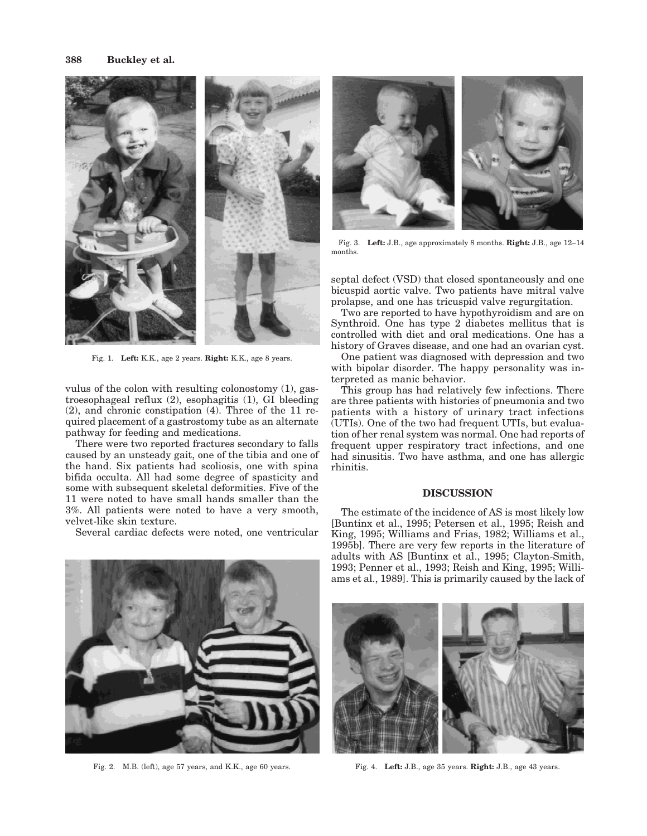

Fig. 1. **Left:** K.K., age 2 years. **Right:** K.K., age 8 years.

vulus of the colon with resulting colonostomy (1), gastroesophageal reflux (2), esophagitis (1), GI bleeding (2), and chronic constipation (4). Three of the 11 required placement of a gastrostomy tube as an alternate pathway for feeding and medications.

There were two reported fractures secondary to falls caused by an unsteady gait, one of the tibia and one of the hand. Six patients had scoliosis, one with spina bifida occulta. All had some degree of spasticity and some with subsequent skeletal deformities. Five of the 11 were noted to have small hands smaller than the 3%. All patients were noted to have a very smooth, velvet-like skin texture.

Several cardiac defects were noted, one ventricular



Fig. 3. **Left:** J.B., age approximately 8 months. **Right:** J.B., age 12–14 months.

septal defect (VSD) that closed spontaneously and one bicuspid aortic valve. Two patients have mitral valve prolapse, and one has tricuspid valve regurgitation.

Two are reported to have hypothyroidism and are on Synthroid. One has type 2 diabetes mellitus that is controlled with diet and oral medications. One has a history of Graves disease, and one had an ovarian cyst.

One patient was diagnosed with depression and two with bipolar disorder. The happy personality was interpreted as manic behavior.

This group has had relatively few infections. There are three patients with histories of pneumonia and two patients with a history of urinary tract infections (UTIs). One of the two had frequent UTIs, but evaluation of her renal system was normal. One had reports of frequent upper respiratory tract infections, and one had sinusitis. Two have asthma, and one has allergic rhinitis.

## **DISCUSSION**

The estimate of the incidence of AS is most likely low [Buntinx et al., 1995; Petersen et al., 1995; Reish and King, 1995; Williams and Frias, 1982; Williams et al., 1995b]. There are very few reports in the literature of adults with AS [Buntinx et al., 1995; Clayton-Smith, 1993; Penner et al., 1993; Reish and King, 1995; Williams et al., 1989]. This is primarily caused by the lack of





Fig. 2. M.B. (left), age 57 years, and K.K., age 60 years. Fig. 4. **Left:** J.B., age 35 years. **Right:** J.B., age 43 years.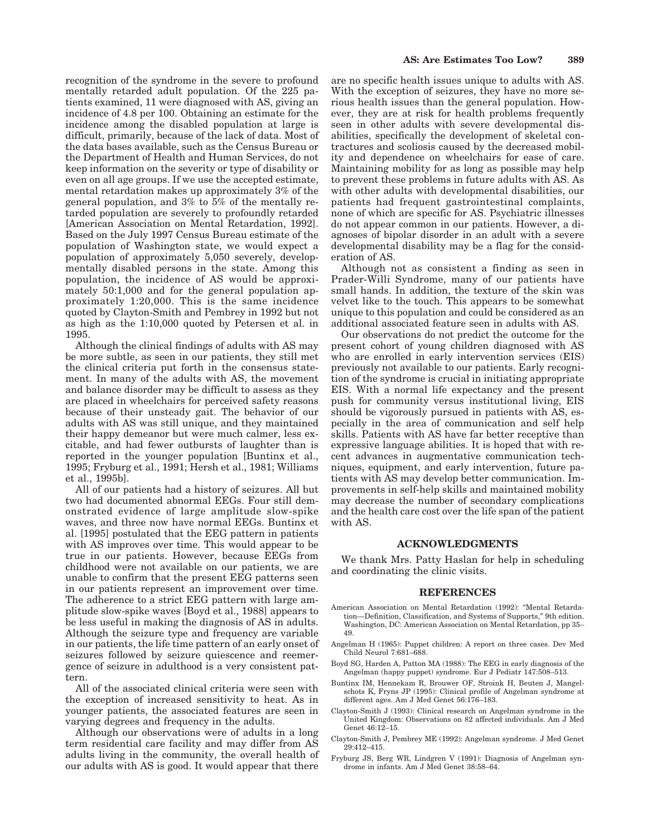recognition of the syndrome in the severe to profound mentally retarded adult population. Of the 225 patients examined, 11 were diagnosed with AS, giving an incidence of 4.8 per 100. Obtaining an estimate for the incidence among the disabled population at large is difficult, primarily, because of the lack of data. Most of the data bases available, such as the Census Bureau or the Department of Health and Human Services, do not keep information on the severity or type of disability or even on all age groups. If we use the accepted estimate, mental retardation makes up approximately 3% of the general population, and 3% to 5% of the mentally retarded population are severely to profoundly retarded [American Association on Mental Retardation, 1992]. Based on the July 1997 Census Bureau estimate of the population of Washington state, we would expect a population of approximately 5,050 severely, developmentally disabled persons in the state. Among this population, the incidence of AS would be approximately 50:1,000 and for the general population approximately 1:20,000. This is the same incidence quoted by Clayton-Smith and Pembrey in 1992 but not as high as the 1:10,000 quoted by Petersen et al. in 1995.

Although the clinical findings of adults with AS may be more subtle, as seen in our patients, they still met the clinical criteria put forth in the consensus statement. In many of the adults with AS, the movement and balance disorder may be difficult to assess as they are placed in wheelchairs for perceived safety reasons because of their unsteady gait. The behavior of our adults with AS was still unique, and they maintained their happy demeanor but were much calmer, less excitable, and had fewer outbursts of laughter than is reported in the younger population [Buntinx et al., 1995; Fryburg et al., 1991; Hersh et al., 1981; Williams et al., 1995b].

All of our patients had a history of seizures. All but two had documented abnormal EEGs. Four still demonstrated evidence of large amplitude slow-spike waves, and three now have normal EEGs. Buntinx et al. [1995] postulated that the EEG pattern in patients with AS improves over time. This would appear to be true in our patients. However, because EEGs from childhood were not available on our patients, we are unable to confirm that the present EEG patterns seen in our patients represent an improvement over time. The adherence to a strict EEG pattern with large amplitude slow-spike waves [Boyd et al., 1988] appears to be less useful in making the diagnosis of AS in adults. Although the seizure type and frequency are variable in our patients, the life time pattern of an early onset of seizures followed by seizure quiescence and reemergence of seizure in adulthood is a very consistent pattern.

All of the associated clinical criteria were seen with the exception of increased sensitivity to heat. As in younger patients, the associated features are seen in varying degrees and frequency in the adults.

Although our observations were of adults in a long term residential care facility and may differ from AS adults living in the community, the overall health of our adults with AS is good. It would appear that there are no specific health issues unique to adults with AS. With the exception of seizures, they have no more serious health issues than the general population. However, they are at risk for health problems frequently seen in other adults with severe developmental disabilities, specifically the development of skeletal contractures and scoliosis caused by the decreased mobility and dependence on wheelchairs for ease of care. Maintaining mobility for as long as possible may help to prevent these problems in future adults with AS. As with other adults with developmental disabilities, our patients had frequent gastrointestinal complaints, none of which are specific for AS. Psychiatric illnesses do not appear common in our patients. However, a diagnoses of bipolar disorder in an adult with a severe developmental disability may be a flag for the consideration of AS.

Although not as consistent a finding as seen in Prader-Willi Syndrome, many of our patients have small hands. In addition, the texture of the skin was velvet like to the touch. This appears to be somewhat unique to this population and could be considered as an additional associated feature seen in adults with AS.

Our observations do not predict the outcome for the present cohort of young children diagnosed with AS who are enrolled in early intervention services (EIS) previously not available to our patients. Early recognition of the syndrome is crucial in initiating appropriate EIS. With a normal life expectancy and the present push for community versus institutional living, EIS should be vigorously pursued in patients with AS, especially in the area of communication and self help skills. Patients with AS have far better receptive than expressive language abilities. It is hoped that with recent advances in augmentative communication techniques, equipment, and early intervention, future patients with AS may develop better communication. Improvements in self-help skills and maintained mobility may decrease the number of secondary complications and the health care cost over the life span of the patient with AS.

#### **ACKNOWLEDGMENTS**

We thank Mrs. Patty Haslan for help in scheduling and coordinating the clinic visits.

#### **REFERENCES**

- American Association on Mental Retardation (1992): ''Mental Retardation—Definition, Classification, and Systems of Supports,'' 9th edition. Washington, DC: American Association on Mental Retardation, pp 35– 49.
- Angelman H (1965): Puppet children: A report on three cases. Dev Med Child Neurol 7:681–688.
- Boyd SG, Harden A, Patton MA (1988): The EEG in early diagnosis of the Angelman (happy puppet) syndrome. Eur J Pediatr 147:508–513.
- Buntinx IM, Hennekam R, Brouwer OF, Stroink H, Beuten J, Mangelschots K, Fryns JP (1995): Clinical profile of Angelman syndrome at different ages. Am J Med Genet 56:176–183.
- Clayton-Smith J (1993): Clinical research on Angelman syndrome in the United Kingdom: Observations on 82 affected individuals. Am J Med Genet 46:12–15.
- Clayton-Smith J, Pembrey ME (1992): Angelman syndrome. J Med Genet  $29.412 - 415$
- Fryburg JS, Berg WR, Lindgren V (1991): Diagnosis of Angelman syndrome in infants. Am J Med Genet 38:58–64.